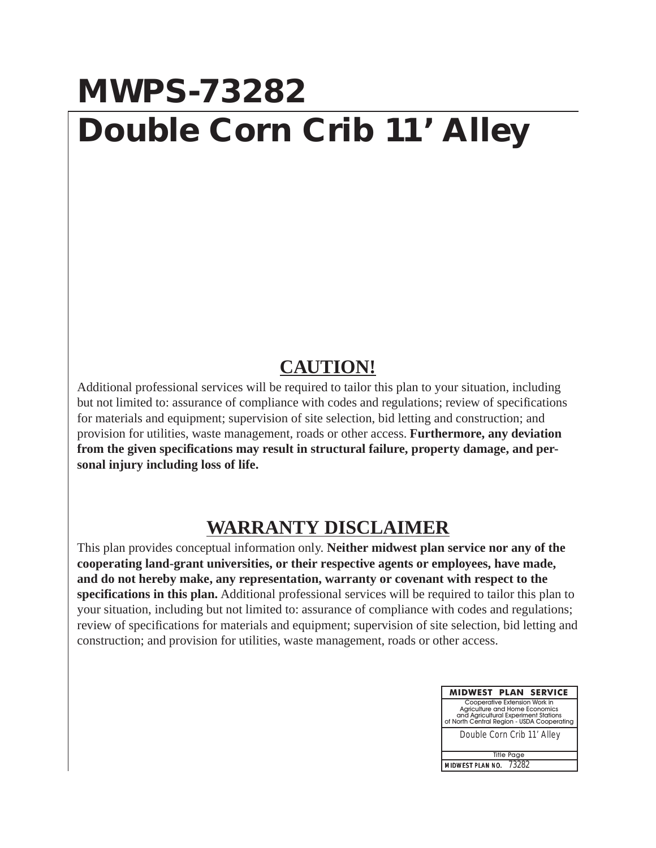## **MWPS-73282 Double Corn Crib 11' Alley**

## **CAUTION!**

Additional professional services will be required to tailor this plan to your situation, including but not limited to: assurance of compliance with codes and regulations; review of specifications for materials and equipment; supervision of site selection, bid letting and construction; and provision for utilities, waste management, roads or other access. **Furthermore, any deviation from the given specifications may result in structural failure, property damage, and personal injury including loss of life.**

## **WARRANTY DISCLAIMER**

This plan provides conceptual information only. **Neither midwest plan service nor any of the cooperating land-grant universities, or their respective agents or employees, have made, and do not hereby make, any representation, warranty or covenant with respect to the specifications in this plan.** Additional professional services will be required to tailor this plan to your situation, including but not limited to: assurance of compliance with codes and regulations; review of specifications for materials and equipment; supervision of site selection, bid letting and construction; and provision for utilities, waste management, roads or other access.

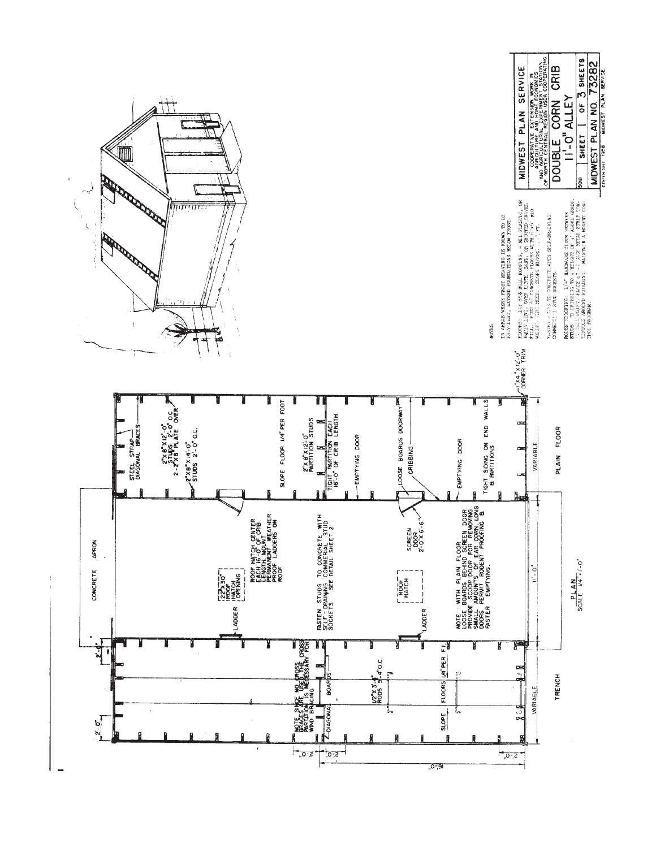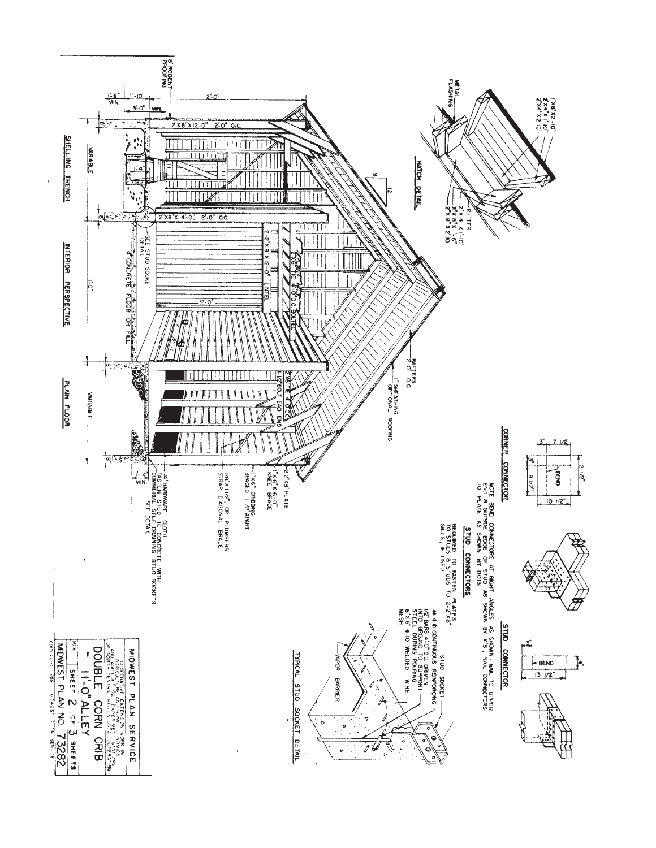